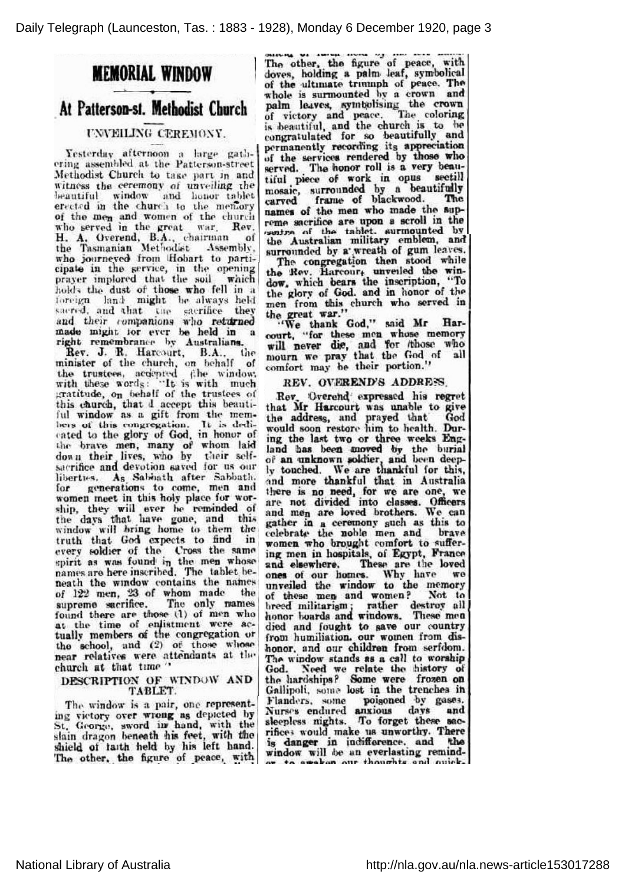# MEMORIAL WINDOW

## At Patterson-sf. Methodist Church

### UNVEILING CEREJIONY.

Yesterday afternoon a large gathering assembled, at the Patterson-street Methodist Church to take part in and witness the ceremony of unveiling the beautiful window and honor tablet erected in the church to the mentory of the men and women of the church who served in the great war. Rev. H. A. Overend, B.A., chairman of the Tasmanian Methodist Assembly, who journeyed from Hobart to participate in the service, in the opening prayer implored that the soil which holds the dust of those who fell in a foreign land might be always held sacred, and that the sacrifice they and their companions who returned made might tor ever be held in <sup>a</sup> right remembrance by Australians. Rev. J. R. Harcourt, B.A., t

Rev. J. R. Harcourt, B.A., the minister of the church, on behalf of the trustees, accepted the windo with these words: "It is with much"<br>gratitude, on behalf of the trustees of this church, that d accept this beautiful window as a gift from the members of this congregation. It is dedicated to the glory of God, in honor of It is dedithe brave men, many of whom laid down their lives, who by their selfsacrifice and devotion saved for us our liberties. As Sabbath after Sabbath, for generations to come, men and women meet in this holy place for worship, they will ever be reminded of the days that have gone, and this window will bring home to them the truth that God expects to find in every soldier of the Cross the same enirit as was found in the men whose names are here inscribed. The tablet be neath the window contains the names of 122 men, 23 of whom made the supreme sacrifice. The only man found there are those (1) of men wh at the time of enlistment were a tually members of the congregation or the school, and (2) of those whose near relatives were, attendants at the church at that time '

#### DESCRIPTION OF WINDOW AND TABLET.

The window is a pair, one representing victory over wrong as depicted by St. George, sword in hand, with the slain dragon beneath his feet, with the shield of faith held by his left hand. The other, the figure of peace, with The other, the figure of peace, with doves, holding a palm leaf, symbolical of the ultimate triumph of peace. The whole is surmounted by a crown and palm leaves, symbolising the cro of victory and peace. The coloring is beautiful, and the church is to be congratulated for so beautifully^ and permanently recording its appreciation of the services rendered by those who served. The honor roll is a very beautiful piece of work in opus sectill mosaic, surrounded by a beautifully carved frame of blackwood. The names of the men who made the supreme sacrifice are upon <sup>a</sup> scroll in the tablet, surmount the Australian military emblem, and surrounded by a wreath of gum leaves. The congregation then stood while

the Rev. Harcour, unveiled the window. which bears the inscription, 'To the glory of God. and in honor of the men from this church who served in the great war.

'We thank God," said Mr Ha court, "for these men whose mem will never die, and for those who mourn we pray, that the God of all comfort may be their portion.'

#### REV. OVEREND'S ADDRESS.

Rev. Overend expressed his regret that Mr Barcouri was unable to give the address, and prayed that Go would soon restore him to health. Dur ing the last two or three weeks Eng land has been moved by the burial of **an unknown soldier, and been deep**<br>ly touched. We are thankful for this and more thankful that in Australia there is no need, for we are one, w are not divided into classes. Officers and men are loved brothers. We ca gather in a ceremony such as this to celebrate the noble, men and brave women who brought comfort to suffering men in hospitals, of Egypt, France and elsewhere. These are the loved ones of our homes. Why have we unveiled the window to the mem of these men and women ? Not fo breed militarism; rather destroy all honor boards and windows. These m died and fought to save our country from humiliation, our women from dis honor. and our children from serfdom. The window stands as <sup>a</sup> call to worship God. Need we relate the history of the hardships? Some were frozen on Gallipoli, some lost in the trenches in Flanders, some poisoned by gases. Nurses endured anxious days and sleepless nights. To forget these sacrifices would make us unworthy. There is danger in indifference, and the window will be an everlasting remindor to everlan our thoughts and ouick.